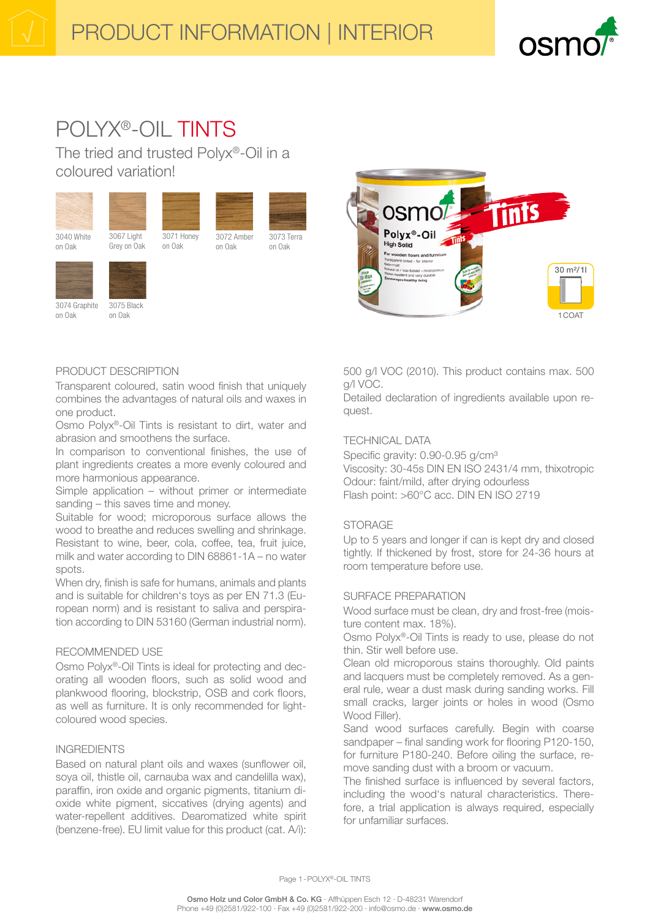

# POLYX®-OIL TINTS

The tried and trusted Polyx®-Oil in a coloured variation!







on Oak

Grey on Oak on Oak



3073 Terra on Oak

3072 Amber on Oak



on Oak

3075 Black on Oak



# PRODUCT DESCRIPTION

Transparent coloured, satin wood finish that uniquely combines the advantages of natural oils and waxes in one product.

Osmo Polyx®-Oil Tints is resistant to dirt, water and abrasion and smoothens the surface.

In comparison to conventional finishes, the use of plant ingredients creates a more evenly coloured and more harmonious appearance.

Simple application – without primer or intermediate sanding – this saves time and money.

Suitable for wood; microporous surface allows the wood to breathe and reduces swelling and shrinkage. Resistant to wine, beer, cola, coffee, tea, fruit juice, milk and water according to DIN 68861-1A – no water spots.

When dry, finish is safe for humans, animals and plants and is suitable for children's toys as per EN 71.3 (European norm) and is resistant to saliva and perspiration according to DIN 53160 (German industrial norm).

## RECOMMENDED USE

Osmo Polyx®-Oil Tints is ideal for protecting and decorating all wooden floors, such as solid wood and plankwood flooring, blockstrip, OSB and cork floors, as well as furniture. It is only recommended for lightcoloured wood species.

## INGREDIENTS

Based on natural plant oils and waxes (sunflower oil, soya oil, thistle oil, carnauba wax and candelilla wax), paraffin, iron oxide and organic pigments, titanium dioxide white pigment, siccatives (drying agents) and water-repellent additives. Dearomatized white spirit (benzene-free). EU limit value for this product (cat. A/i):

500 g/l VOC (2010). This product contains max. 500 g/l VOC.

Detailed declaration of ingredients available upon request.

# TECHNICAL DATA

Specific gravity: 0.90-0.95 g/cm<sup>3</sup> Viscosity: 30-45s DIN EN ISO 2431/4 mm, thixotropic Odour: faint/mild, after drying odourless Flash point: >60°C acc. DIN EN ISO 2719

## **STORAGE**

Up to 5 years and longer if can is kept dry and closed tightly. If thickened by frost, store for 24-36 hours at room temperature before use.

## SURFACE PREPARATION

Wood surface must be clean, dry and frost-free (moisture content max. 18%).

Osmo Polyx®-Oil Tints is ready to use, please do not thin. Stir well before use.

Clean old microporous stains thoroughly. Old paints and lacquers must be completely removed. As a general rule, wear a dust mask during sanding works. Fill small cracks, larger joints or holes in wood (Osmo Wood Filler).

Sand wood surfaces carefully. Begin with coarse sandpaper – final sanding work for flooring P120-150, for furniture P180-240. Before oiling the surface, remove sanding dust with a broom or vacuum.

The finished surface is influenced by several factors, including the wood's natural characteristics. Therefore, a trial application is always required, especially for unfamiliar surfaces.